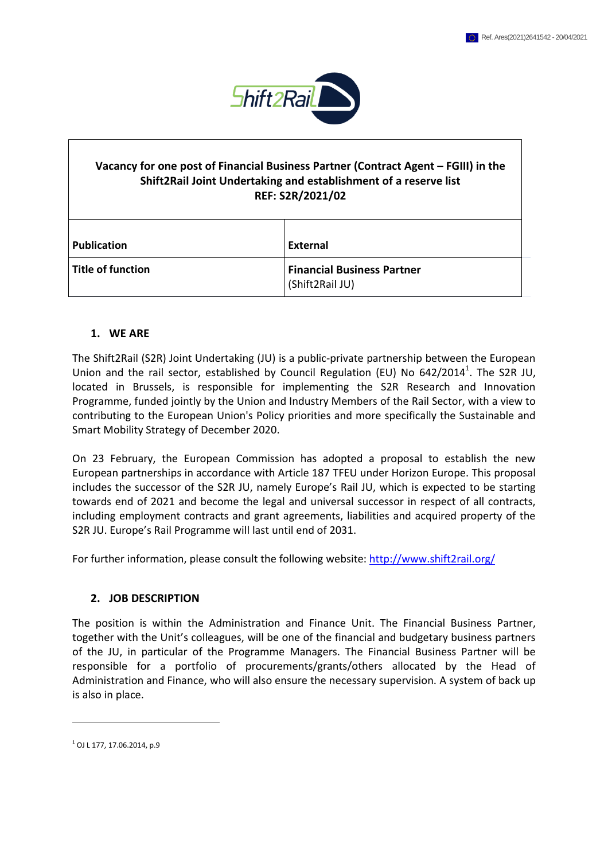

# **Vacancy for one post of Financial Business Partner (Contract Agent – FGIII) in the Shift2Rail Joint Undertaking and establishment of a reserve list REF: S2R/2021/02**

| <b>Publication</b>       | External                                             |
|--------------------------|------------------------------------------------------|
| <b>Title of function</b> | <b>Financial Business Partner</b><br>(Shift2Rail JU) |

#### **1. WE ARE**

The Shift2Rail (S2R) Joint Undertaking (JU) is a public-private partnership between the European Union and the rail sector, established by Council Regulation (EU) No 642/2014<sup>1</sup>. The S2R JU, located in Brussels, is responsible for implementing the S2R Research and Innovation Programme, funded jointly by the Union and Industry Members of the Rail Sector, with a view to contributing to the European Union's Policy priorities and more specifically the Sustainable and Smart Mobility Strategy of December 2020.

On 23 February, the European Commission has adopted a proposal to establish the new European partnerships in accordance with Article 187 TFEU under Horizon Europe. This proposal includes the successor of the S2R JU, namely Europe's Rail JU, which is expected to be starting towards end of 2021 and become the legal and universal successor in respect of all contracts, including employment contracts and grant agreements, liabilities and acquired property of the S2R JU. Europe's Rail Programme will last until end of 2031.

For further information, please consult the following website: <http://www.shift2rail.org/>

#### **2. JOB DESCRIPTION**

The position is within the Administration and Finance Unit. The Financial Business Partner, together with the Unit's colleagues, will be one of the financial and budgetary business partners of the JU, in particular of the Programme Managers. The Financial Business Partner will be responsible for a portfolio of procurements/grants/others allocated by the Head of Administration and Finance, who will also ensure the necessary supervision. A system of back up is also in place.

 $\overline{a}$ 

 $1$  OJ L 177, 17.06.2014, p.9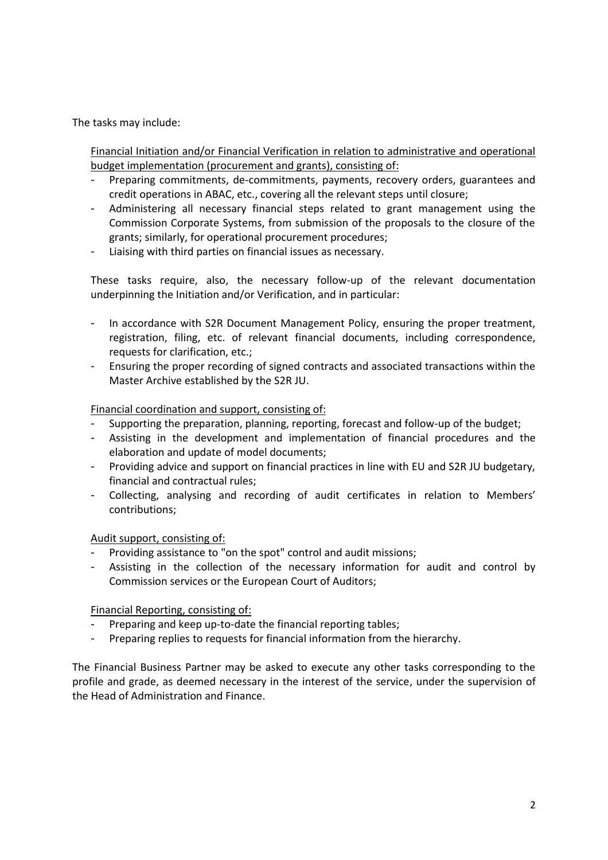The tasks may include:

Financial Initiation and/or Financial Verification in relation to administrative and operational budget implementation (procurement and grants), consisting of:

- Preparing commitments, de-commitments, payments, recovery orders, guarantees and credit operations in ABAC, etc., covering all the relevant steps until closure;
- Administering all necessary financial steps related to grant management using the Commission Corporate Systems, from submission of the proposals to the closure of the grants; similarly, for operational procurement procedures;
- Liaising with third parties on financial issues as necessary.

These tasks require, also, the necessary follow-up of the relevant documentation underpinning the Initiation and/or Verification, and in particular:

- In accordance with S2R Document Management Policy, ensuring the proper treatment, registration, filing, etc. of relevant financial documents, including correspondence, requests for clarification, etc.;
- Ensuring the proper recording of signed contracts and associated transactions within the Master Archive established by the S2R JU.

Financial coordination and support, consisting of:

- Supporting the preparation, planning, reporting, forecast and follow-up of the budget;
- Assisting in the development and implementation of financial procedures and the elaboration and update of model documents;
- Providing advice and support on financial practices in line with EU and S2R JU budgetary, financial and contractual rules;
- Collecting, analysing and recording of audit certificates in relation to Members' contributions;

#### Audit support, consisting of:

- Providing assistance to "on the spot" control and audit missions;
- Assisting in the collection of the necessary information for audit and control by Commission services or the European Court of Auditors;

## Financial Reporting, consisting of:

- Preparing and keep up-to-date the financial reporting tables;
- Preparing replies to requests for financial information from the hierarchy.

The Financial Business Partner may be asked to execute any other tasks corresponding to the profile and grade, as deemed necessary in the interest of the service, under the supervision of the Head of Administration and Finance.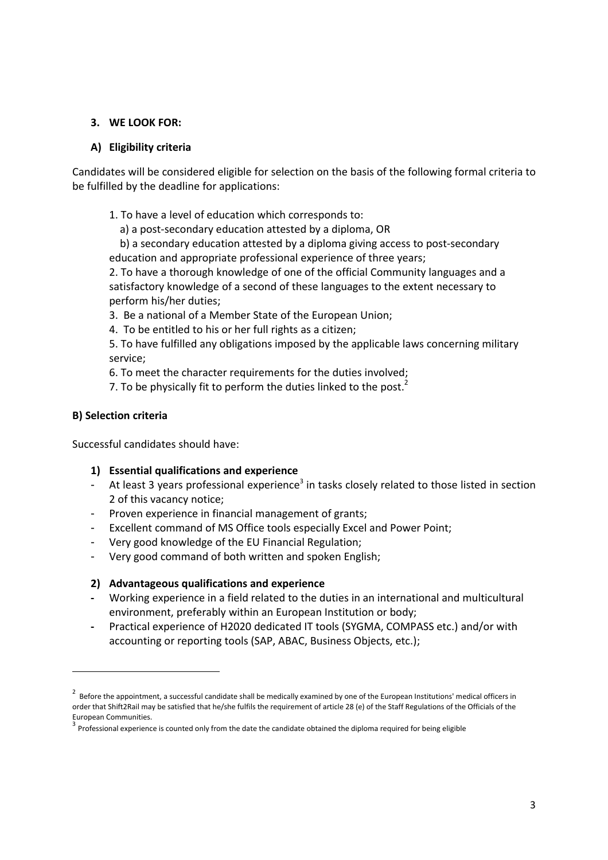#### **3. WE LOOK FOR:**

#### **A) Eligibility criteria**

Candidates will be considered eligible for selection on the basis of the following formal criteria to be fulfilled by the deadline for applications:

1. To have a level of education which corresponds to:

a) a post-secondary education attested by a diploma, OR

 b) a secondary education attested by a diploma giving access to post-secondary education and appropriate professional experience of three years;

2. To have a thorough knowledge of one of the official Community languages and a satisfactory knowledge of a second of these languages to the extent necessary to perform his/her duties;

3. Be a national of a Member State of the European Union;

4. To be entitled to his or her full rights as a citizen;

5. To have fulfilled any obligations imposed by the applicable laws concerning military service;

6. To meet the character requirements for the duties involved;

7. To be physically fit to perform the duties linked to the post. $<sup>2</sup>$ </sup>

### **B) Selection criteria**

 $\overline{a}$ 

Successful candidates should have:

#### **1) Essential qualifications and experience**

- At least 3 years professional experience<sup>3</sup> in tasks closely related to those listed in section 2 of this vacancy notice;
- Proven experience in financial management of grants;
- Excellent command of MS Office tools especially Excel and Power Point;
- Very good knowledge of the EU Financial Regulation;
- Very good command of both written and spoken English;

#### **2) Advantageous qualifications and experience**

- **-** Working experience in a field related to the duties in an international and multicultural environment, preferably within an European Institution or body;
- **-** Practical experience of H2020 dedicated IT tools (SYGMA, COMPASS etc.) and/or with accounting or reporting tools (SAP, ABAC, Business Objects, etc.);

<sup>&</sup>lt;sup>2</sup> Before the appointment, a successful candidate shall be medically examined by one of the European Institutions' medical officers in order that Shift2Rail may be satisfied that he/she fulfils the requirement of article 28 (e) of the Staff Regulations of the Officials of the European Communities.

<sup>&</sup>lt;sup>3</sup> Professional experience is counted only from the date the candidate obtained the diploma required for being eligible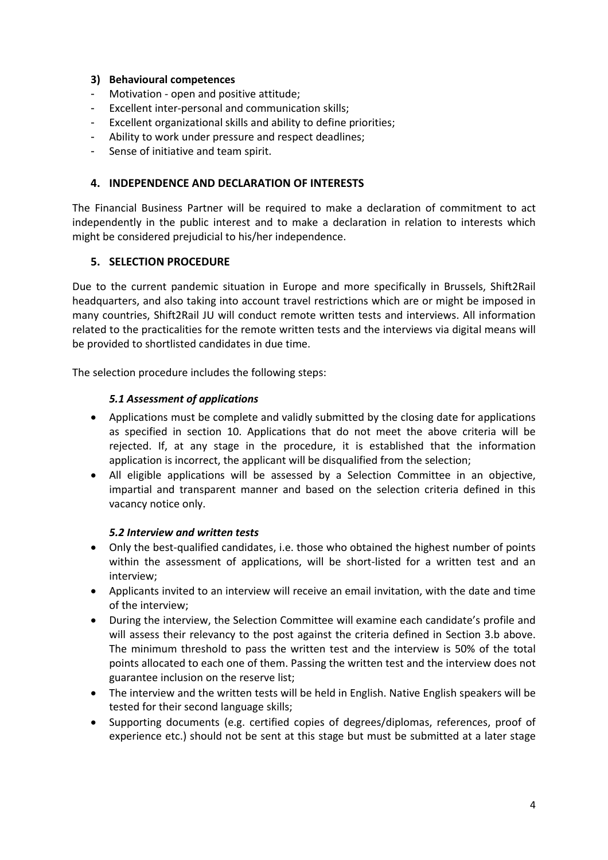#### **3) Behavioural competences**

- Motivation open and positive attitude;
- Excellent inter-personal and communication skills;
- Excellent organizational skills and ability to define priorities;
- Ability to work under pressure and respect deadlines;
- Sense of initiative and team spirit.

#### **4. INDEPENDENCE AND DECLARATION OF INTERESTS**

The Financial Business Partner will be required to make a declaration of commitment to act independently in the public interest and to make a declaration in relation to interests which might be considered prejudicial to his/her independence.

### **5. SELECTION PROCEDURE**

Due to the current pandemic situation in Europe and more specifically in Brussels, Shift2Rail headquarters, and also taking into account travel restrictions which are or might be imposed in many countries, Shift2Rail JU will conduct remote written tests and interviews. All information related to the practicalities for the remote written tests and the interviews via digital means will be provided to shortlisted candidates in due time.

The selection procedure includes the following steps:

### *5.1 Assessment of applications*

- Applications must be complete and validly submitted by the closing date for applications as specified in section 10. Applications that do not meet the above criteria will be rejected. If, at any stage in the procedure, it is established that the information application is incorrect, the applicant will be disqualified from the selection;
- All eligible applications will be assessed by a Selection Committee in an objective, impartial and transparent manner and based on the selection criteria defined in this vacancy notice only.

#### *5.2 Interview and written tests*

- Only the best-qualified candidates, i.e. those who obtained the highest number of points within the assessment of applications, will be short-listed for a written test and an interview;
- Applicants invited to an interview will receive an email invitation, with the date and time of the interview;
- During the interview, the Selection Committee will examine each candidate's profile and will assess their relevancy to the post against the criteria defined in Section 3.b above. The minimum threshold to pass the written test and the interview is 50% of the total points allocated to each one of them. Passing the written test and the interview does not guarantee inclusion on the reserve list;
- The interview and the written tests will be held in English. Native English speakers will be tested for their second language skills;
- Supporting documents (e.g. certified copies of degrees/diplomas, references, proof of experience etc.) should not be sent at this stage but must be submitted at a later stage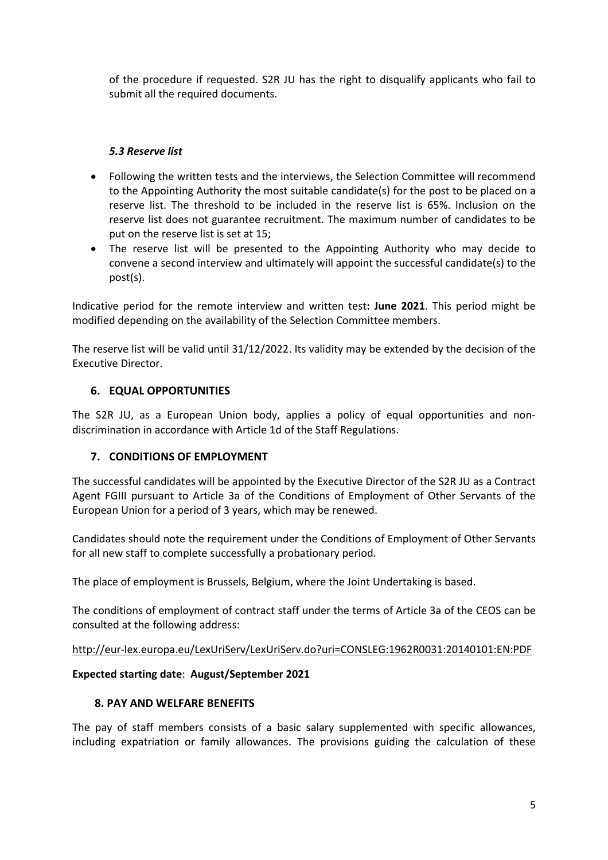of the procedure if requested. S2R JU has the right to disqualify applicants who fail to submit all the required documents.

## *5.3 Reserve list*

- Following the written tests and the interviews, the Selection Committee will recommend to the Appointing Authority the most suitable candidate(s) for the post to be placed on a reserve list. The threshold to be included in the reserve list is 65%. Inclusion on the reserve list does not guarantee recruitment. The maximum number of candidates to be put on the reserve list is set at 15;
- The reserve list will be presented to the Appointing Authority who may decide to convene a second interview and ultimately will appoint the successful candidate(s) to the post(s).

Indicative period for the remote interview and written test**: June 2021**. This period might be modified depending on the availability of the Selection Committee members.

The reserve list will be valid until 31/12/2022. Its validity may be extended by the decision of the Executive Director.

## **6. EQUAL OPPORTUNITIES**

The S2R JU, as a European Union body, applies a policy of equal opportunities and nondiscrimination in accordance with Article 1d of the Staff Regulations.

## **7. CONDITIONS OF EMPLOYMENT**

The successful candidates will be appointed by the Executive Director of the S2R JU as a Contract Agent FGIII pursuant to Article 3a of the Conditions of Employment of Other Servants of the European Union for a period of 3 years, which may be renewed.

Candidates should note the requirement under the Conditions of Employment of Other Servants for all new staff to complete successfully a probationary period.

The place of employment is Brussels, Belgium, where the Joint Undertaking is based.

The conditions of employment of contract staff under the terms of Article 3a of the CEOS can be consulted at the following address:

<http://eur-lex.europa.eu/LexUriServ/LexUriServ.do?uri=CONSLEG:1962R0031:20140101:EN:PDF>

## **Expected starting date**: **August/September 2021**

## **8. PAY AND WELFARE BENEFITS**

The pay of staff members consists of a basic salary supplemented with specific allowances, including expatriation or family allowances. The provisions guiding the calculation of these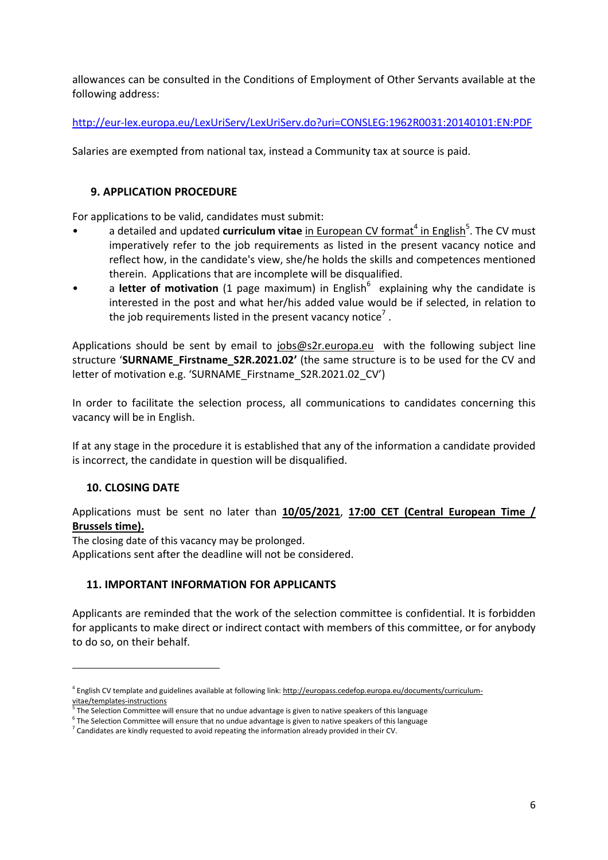allowances can be consulted in the Conditions of Employment of Other Servants available at the following address:

<http://eur-lex.europa.eu/LexUriServ/LexUriServ.do?uri=CONSLEG:1962R0031:20140101:EN:PDF>

Salaries are exempted from national tax, instead a Community tax at source is paid.

### **9. APPLICATION PROCEDURE**

For applications to be valid, candidates must submit:

- a detailed and updated **curriculum vitae** in European CV format<sup>4</sup> in English<sup>5</sup>. The CV must imperatively refer to the job requirements as listed in the present vacancy notice and reflect how, in the candidate's view, she/he holds the skills and competences mentioned therein. Applications that are incomplete will be disqualified.
- a letter of motivation (1 page maximum) in English<sup>6</sup> explaining why the candidate is interested in the post and what her/his added value would be if selected, in relation to the job requirements listed in the present vacancy notice<sup>7</sup>.

Applications should be sent by email to [jobs@s2r.europa.eu](mailto:jobs@s2r.europa.eu) with the following subject line structure '**SURNAME\_Firstname\_S2R.2021.02'** (the same structure is to be used for the CV and letter of motivation e.g. 'SURNAME\_Firstname\_S2R.2021.02\_CV')

In order to facilitate the selection process, all communications to candidates concerning this vacancy will be in English.

If at any stage in the procedure it is established that any of the information a candidate provided is incorrect, the candidate in question will be disqualified.

#### **10. CLOSING DATE**

 $\overline{a}$ 

Applications must be sent no later than **10/05/2021**, **17:00 CET (Central European Time / Brussels time).**

The closing date of this vacancy may be prolonged.

Applications sent after the deadline will not be considered.

#### **11. IMPORTANT INFORMATION FOR APPLICANTS**

Applicants are reminded that the work of the selection committee is confidential. It is forbidden for applicants to make direct or indirect contact with members of this committee, or for anybody to do so, on their behalf.

<sup>&</sup>lt;sup>4</sup> English CV template and guidelines available at following link: [http://europass.cedefop.europa.eu/documents/curriculum](http://europass.cedefop.europa.eu/documents/curriculum-vitae/templates-instructions)[vitae/templates-instructions](http://europass.cedefop.europa.eu/documents/curriculum-vitae/templates-instructions)

The Selection Committee will ensure that no undue advantage is given to native speakers of this language

 $^6$  The Selection Committee will ensure that no undue advantage is given to native speakers of this language

 $^7$  Candidates are kindly requested to avoid repeating the information already provided in their CV.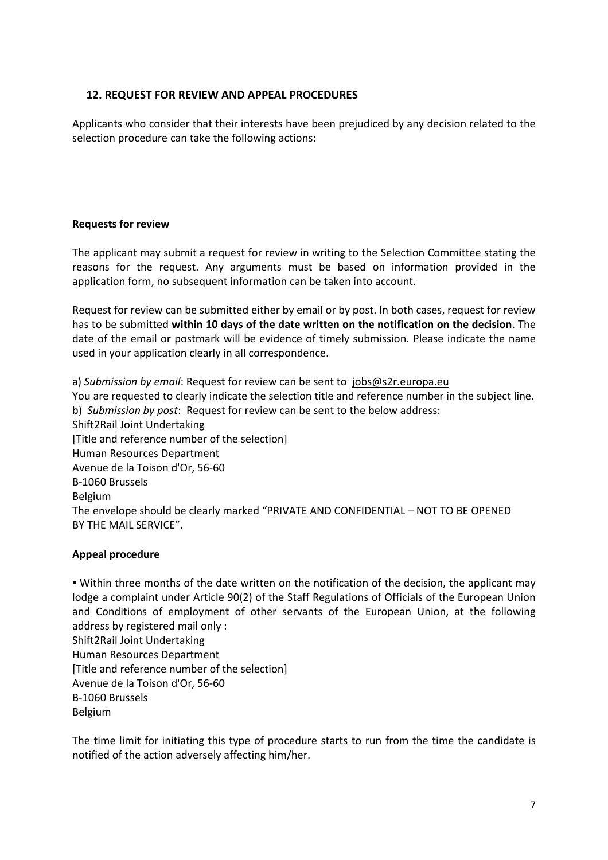### **12. REQUEST FOR REVIEW AND APPEAL PROCEDURES**

Applicants who consider that their interests have been prejudiced by any decision related to the selection procedure can take the following actions:

#### **Requests for review**

The applicant may submit a request for review in writing to the Selection Committee stating the reasons for the request. Any arguments must be based on information provided in the application form, no subsequent information can be taken into account.

Request for review can be submitted either by email or by post. In both cases, request for review has to be submitted **within 10 days of the date written on the notification on the decision**. The date of the email or postmark will be evidence of timely submission. Please indicate the name used in your application clearly in all correspondence.

a) *Submission by email*: Request for review can be sent to [jobs@s2r.europa.eu](mailto:jobs@s2r.europa.eu) You are requested to clearly indicate the selection title and reference number in the subject line. b) *Submission by post*: Request for review can be sent to the below address: Shift2Rail Joint Undertaking [Title and reference number of the selection] Human Resources Department Avenue de la Toison d'Or, 56-60 B-1060 Brussels Belgium The envelope should be clearly marked "PRIVATE AND CONFIDENTIAL – NOT TO BE OPENED BY THE MAIL SERVICE".

#### **Appeal procedure**

▪ Within three months of the date written on the notification of the decision, the applicant may lodge a complaint under Article 90(2) of the Staff Regulations of Officials of the European Union and Conditions of employment of other servants of the European Union, at the following address by registered mail only : Shift2Rail Joint Undertaking Human Resources Department [Title and reference number of the selection] Avenue de la Toison d'Or, 56-60 B-1060 Brussels Belgium

The time limit for initiating this type of procedure starts to run from the time the candidate is notified of the action adversely affecting him/her.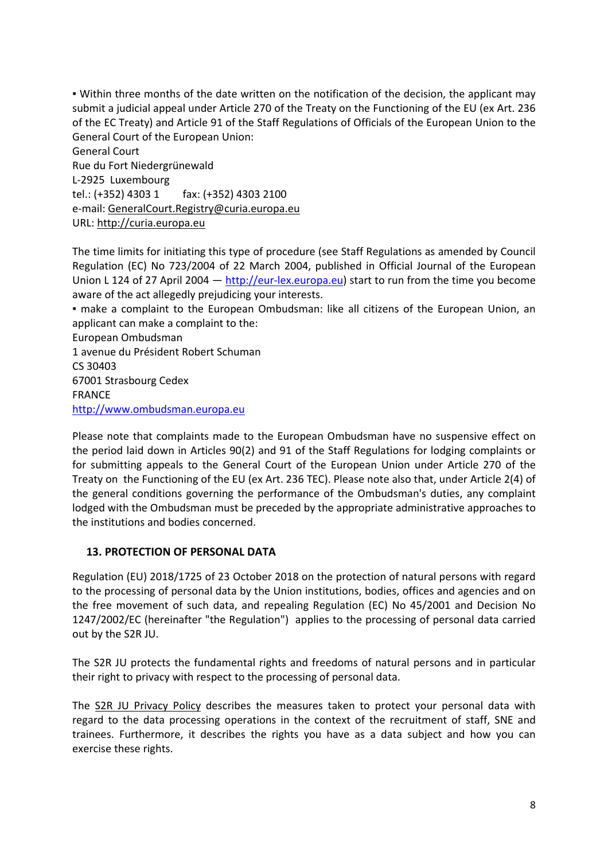▪ Within three months of the date written on the notification of the decision, the applicant may submit a judicial appeal under Article 270 of the Treaty on the Functioning of the EU (ex Art. 236 of the EC Treaty) and Article 91 of the Staff Regulations of Officials of the European Union to the General Court of the European Union:

General Court Rue du Fort Niedergrünewald L-2925 Luxembourg tel.: (+352) 4303 1 fax: (+352) 4303 2100 e-mail: [GeneralCourt.Registry@curia.europa.eu](mailto:GeneralCourt.Registry@curia.europa.eu) URL: [http://curia.europa.eu](http://curia.europa.eu/)

The time limits for initiating this type of procedure (see Staff Regulations as amended by Council Regulation (EC) No 723/2004 of 22 March 2004, published in Official Journal of the European Union L 124 of 27 April 2004 — [http://eur-lex.europa.eu\)](http://eur-lex.europa.eu/) start to run from the time you become aware of the act allegedly prejudicing your interests.

▪ make a complaint to the European Ombudsman: like all citizens of the European Union, an applicant can make a complaint to the:

European Ombudsman

1 avenue du Président Robert Schuman CS 30403 67001 Strasbourg Cedex FRANCE [http://www.ombudsman.europa.eu](http://www.ombudsman.europa.eu/)

Please note that complaints made to the European Ombudsman have no suspensive effect on the period laid down in Articles 90(2) and 91 of the Staff Regulations for lodging complaints or for submitting appeals to the General Court of the European Union under Article 270 of the Treaty on the Functioning of the EU (ex Art. 236 TEC). Please note also that, under Article 2(4) of the general conditions governing the performance of the Ombudsman's duties, any complaint lodged with the Ombudsman must be preceded by the appropriate administrative approaches to the institutions and bodies concerned.

# **13. PROTECTION OF PERSONAL DATA**

Regulation (EU) 2018/1725 of 23 October 2018 on the protection of natural persons with regard to the processing of personal data by the Union institutions, bodies, offices and agencies and on the free movement of such data, and repealing Regulation (EC) No 45/2001 and Decision No 1247/2002/EC (hereinafter "the Regulation") applies to the processing of personal data carried out by the S2R JU.

The S2R JU protects the fundamental rights and freedoms of natural persons and in particular their right to privacy with respect to the processing of personal data.

The S2R JU [Privacy](https://shift2rail.org/wp-content/uploads/2019/01/PO-1-01_Recruitment.pdf) Policy describes the measures taken to protect your personal data with regard to the data processing operations in the context of the recruitment of staff, SNE and trainees. Furthermore, it describes the rights you have as a data subject and how you can exercise these rights.